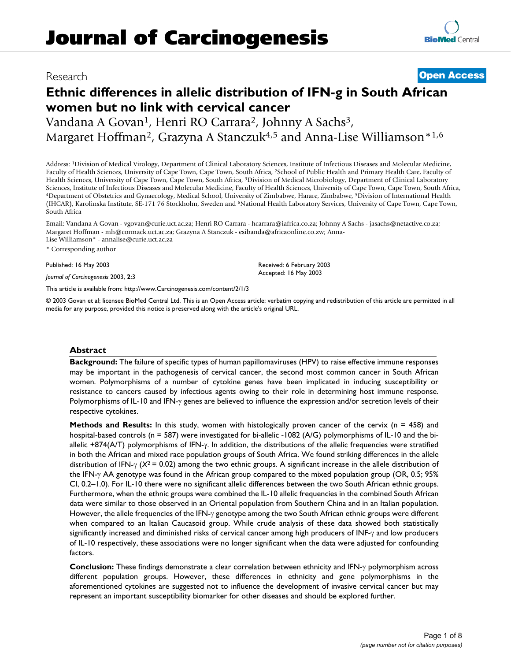## Research **[Open Access](http://www.biomedcentral.com/info/about/charter/)**

# **Ethnic differences in allelic distribution of IFN-g in South African women but no link with cervical cancer**

Vandana A Govan<sup>1</sup>, Henri RO Carrara<sup>2</sup>, Johnny A Sachs<sup>3</sup>, Margaret Hoffman<sup>2</sup>, Grazyna A Stanczuk<sup>4,5</sup> and Anna-Lise Williamson<sup>\*1,6</sup>

Address: 1Division of Medical Virology, Department of Clinical Laboratory Sciences, Institute of Infectious Diseases and Molecular Medicine, Faculty of Health Sciences, University of Cape Town, Cape Town, South Africa, 2School of Public Health and Primary Health Care, Faculty of Health Sciences, University of Cape Town, Cape Town, South Africa, 3Division of Medical Microbiology, Department of Clinical Laboratory Sciences, Institute of Infectious Diseases and Molecular Medicine, Faculty of Health Sciences, University of Cape Town, Cape Town, South Africa, 4Department of Obstetrics and Gynaecology, Medical School, University of Zimb (IHCAR), Karolinska Institute, SE-171 76 Stockholm, Sweden and 6National Health Laboratory Services, University of Cape Town, Cape Town, South Africa

Email: Vandana A Govan - vgovan@curie.uct.ac.za; Henri RO Carrara - hcarrara@iafrica.co.za; Johnny A Sachs - jasachs@netactive.co.za; Margaret Hoffman - mh@cormack.uct.ac.za; Grazyna A Stanczuk - esibanda@africaonline.co.zw; Anna-Lise Williamson\* - annalise@curie.uct.ac.za

\* Corresponding author

Published: 16 May 2003

*Journal of Carcinogenesis* 2003, **2**:3

[This article is available from: http://www.Carcinogenesis.com/content/2/1/3](http://www.Carcinogenesis.com/content/2/1/3)

© 2003 Govan et al; licensee BioMed Central Ltd. This is an Open Access article: verbatim copying and redistribution of this article are permitted in all media for any purpose, provided this notice is preserved along with the article's original URL.

Received: 6 February 2003 Accepted: 16 May 2003

#### **Abstract**

**Background:** The failure of specific types of human papillomaviruses (HPV) to raise effective immune responses may be important in the pathogenesis of cervical cancer, the second most common cancer in South African women. Polymorphisms of a number of cytokine genes have been implicated in inducing susceptibility or resistance to cancers caused by infectious agents owing to their role in determining host immune response. Polymorphisms of IL-10 and IFN-γ genes are believed to influence the expression and/or secretion levels of their respective cytokines.

**Methods and Results:** In this study, women with histologically proven cancer of the cervix (n = 458) and hospital-based controls (n = 587) were investigated for bi-allelic -1082 (A/G) polymorphisms of IL-10 and the biallelic +874(A/T) polymorphisms of IFN-γ. In addition, the distributions of the allelic frequencies were stratified in both the African and mixed race population groups of South Africa. We found striking differences in the allele distribution of IFN-γ (*X*2 = 0.02) among the two ethnic groups. A significant increase in the allele distribution of the IFN-γ AA genotype was found in the African group compared to the mixed population group (OR, 0.5; 95% CI, 0.2–1.0). For IL-10 there were no significant allelic differences between the two South African ethnic groups. Furthermore, when the ethnic groups were combined the IL-10 allelic frequencies in the combined South African data were similar to those observed in an Oriental population from Southern China and in an Italian population. However, the allele frequencies of the IFN-γ genotype among the two South African ethnic groups were different when compared to an Italian Caucasoid group. While crude analysis of these data showed both statistically significantly increased and diminished risks of cervical cancer among high producers of INF-γ and low producers of IL-10 respectively, these associations were no longer significant when the data were adjusted for confounding factors.

**Conclusion:** These findings demonstrate a clear correlation between ethnicity and IFN-γ polymorphism across different population groups. However, these differences in ethnicity and gene polymorphisms in the aforementioned cytokines are suggested not to influence the development of invasive cervical cancer but may represent an important susceptibility biomarker for other diseases and should be explored further.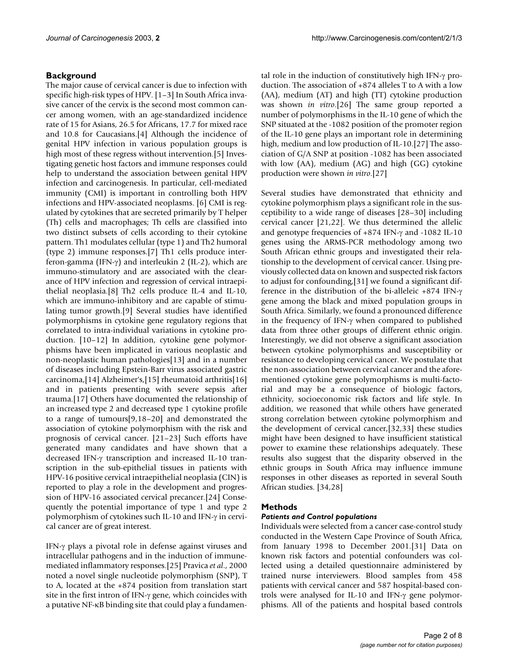## **Background**

The major cause of cervical cancer is due to infection with specific high-risk types of HPV. [1–3] In South Africa invasive cancer of the cervix is the second most common cancer among women, with an age-standardized incidence rate of 15 for Asians, 26.5 for Africans, 17.7 for mixed race and 10.8 for Caucasians.[4] Although the incidence of genital HPV infection in various population groups is high most of these regress without intervention.<sup>[5]</sup> Investigating genetic host factors and immune responses could help to understand the association between genital HPV infection and carcinogenesis. In particular, cell-mediated immunity (CMI) is important in controlling both HPV infections and HPV-associated neoplasms. [6] CMI is regulated by cytokines that are secreted primarily by T helper (Th) cells and macrophages; Th cells are classified into two distinct subsets of cells according to their cytokine pattern. Th1 modulates cellular (type 1) and Th2 humoral (type 2) immune responses.[7] Th1 cells produce interferon-gamma (IFN-γ) and interleukin 2 (IL-2), which are immuno-stimulatory and are associated with the clearance of HPV infection and regression of cervical intraepithelial neoplasia.[8] Th2 cells produce IL-4 and IL-10, which are immuno-inhibitory and are capable of stimulating tumor growth.[9] Several studies have identified polymorphisms in cytokine gene regulatory regions that correlated to intra-individual variations in cytokine production. [10–12] In addition, cytokine gene polymorphisms have been implicated in various neoplastic and non-neoplastic human pathologies[13] and in a number of diseases including Epstein-Barr virus associated gastric carcinoma,[14] Alzheimer's,[15] rheumatoid arthritis[16] and in patients presenting with severe sepsis after trauma.[17] Others have documented the relationship of an increased type 2 and decreased type 1 cytokine profile to a range of tumours[9,18–20] and demonstrated the association of cytokine polymorphism with the risk and prognosis of cervical cancer. [\[21–](#page-6-0)23] Such efforts have generated many candidates and have shown that a decreased IFN-γ transcription and increased IL-10 transcription in the sub-epithelial tissues in patients with HPV-16 positive cervical intraepithelial neoplasia (CIN) is reported to play a role in the development and progression of HPV-16 associated cervical precancer.[24] Consequently the potential importance of type 1 and type 2 polymorphism of cytokines such IL-10 and IFN-γ in cervical cancer are of great interest.

IFN-γ plays a pivotal role in defense against viruses and intracellular pathogens and in the induction of immunemediated inflammatory responses.[25] Pravica *et al*., 2000 noted a novel single nucleotide polymorphism (SNP), T to A, located at the +874 position from translation start site in the first intron of IFN-γ gene, which coincides with a putative NF-κB binding site that could play a fundamental role in the induction of constitutively high IFN-γ production. The association of +874 alleles T to A with a low (AA), medium (AT) and high (TT) cytokine production was shown *in vitro*.[26] The same group reported a number of polymorphisms in the IL-10 gene of which the SNP situated at the -1082 position of the promoter region of the IL-10 gene plays an important role in determining high, medium and low production of IL-10.[27] The association of G/A SNP at position -1082 has been associated with low (AA), medium (AG) and high (GG) cytokine production were shown *in vitro*.[27]

Several studies have demonstrated that ethnicity and cytokine polymorphism plays a significant role in the susceptibility to a wide range of diseases [28–30] including cervical cancer [\[21](#page-6-0),22]. We thus determined the allelic and genotype frequencies of +874 IFN-γ and -1082 IL-10 genes using the ARMS-PCR methodology among two South African ethnic groups and investigated their relationship to the development of cervical cancer. Using previously collected data on known and suspected risk factors to adjust for confounding,[31] we found a significant difference in the distribution of the bi-alleleic +874 IFN-γ gene among the black and mixed population groups in South Africa. Similarly, we found a pronounced difference in the frequency of IFN-γ when compared to published data from three other groups of different ethnic origin. Interestingly, we did not observe a significant association between cytokine polymorphisms and susceptibility or resistance to developing cervical cancer. We postulate that the non-association between cervical cancer and the aforementioned cytokine gene polymorphisms is multi-factorial and may be a consequence of biologic factors, ethnicity, socioeconomic risk factors and life style. In addition, we reasoned that while others have generated strong correlation between cytokine polymorphism and the development of cervical cancer,[32,33] these studies might have been designed to have insufficient statistical power to examine these relationships adequately. These results also suggest that the disparity observed in the ethnic groups in South Africa may influence immune responses in other diseases as reported in several South African studies. [34,28]

## **Methods**

## *Patients and Control populations*

Individuals were selected from a cancer case-control study conducted in the Western Cape Province of South Africa, from January 1998 to December 2001.[31] Data on known risk factors and potential confounders was collected using a detailed questionnaire administered by trained nurse interviewers. Blood samples from 458 patients with cervical cancer and 587 hospital-based controls were analysed for IL-10 and IFN-γ gene polymorphisms. All of the patients and hospital based controls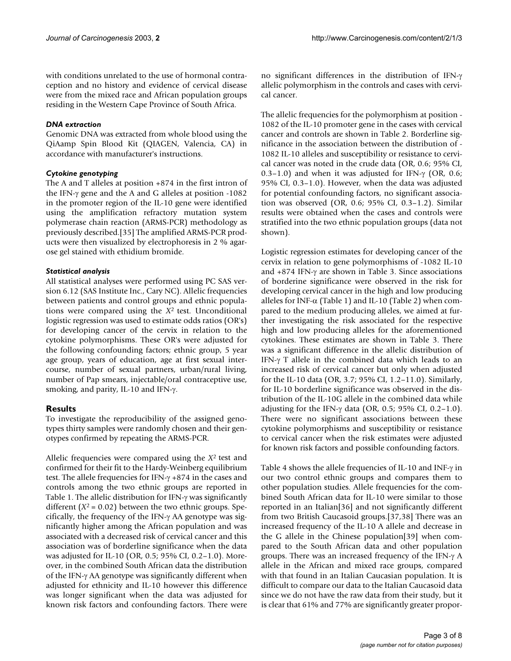with conditions unrelated to the use of hormonal contraception and no history and evidence of cervical disease were from the mixed race and African population groups residing in the Western Cape Province of South Africa.

#### *DNA extraction*

Genomic DNA was extracted from whole blood using the QiAamp Spin Blood Kit (QIAGEN, Valencia, CA) in accordance with manufacturer's instructions.

## *Cytokine genotyping*

The A and T alleles at position +874 in the first intron of the IFN-γ gene and the A and G alleles at position -1082 in the promoter region of the IL-10 gene were identified using the amplification refractory mutation system polymerase chain reaction (ARMS-PCR) methodology as previously described.[35] The amplified ARMS-PCR products were then visualized by electrophoresis in 2 % agarose gel stained with ethidium bromide.

## *Statistical analysis*

All statistical analyses were performed using PC SAS version 6.12 (SAS Institute Inc., Cary NC). Allelic frequencies between patients and control groups and ethnic populations were compared using the *X*2 test. Unconditional logistic regression was used to estimate odds ratios (OR's) for developing cancer of the cervix in relation to the cytokine polymorphisms. These OR's were adjusted for the following confounding factors; ethnic group, 5 year age group, years of education, age at first sexual intercourse, number of sexual partners, urban/rural living, number of Pap smears, injectable/oral contraceptive use, smoking, and parity, IL-10 and IFN-γ.

## **Results**

To investigate the reproducibility of the assigned genotypes thirty samples were randomly chosen and their genotypes confirmed by repeating the ARMS-PCR.

Allelic frequencies were compared using the *X*2 test and confirmed for their fit to the Hardy-Weinberg equilibrium test. The allele frequencies for IFN-γ +874 in the cases and controls among the two ethnic groups are reported in Table [1.](#page-3-0) The allelic distribution for IFN-γ was significantly different  $(X^2 = 0.02)$  between the two ethnic groups. Specifically, the frequency of the IFN-γ AA genotype was significantly higher among the African population and was associated with a decreased risk of cervical cancer and this association was of borderline significance when the data was adjusted for IL-10 (OR, 0.5; 95% CI, 0.2–1.0). Moreover, in the combined South African data the distribution of the IFN-γ AA genotype was significantly different when adjusted for ethnicity and IL-10 however this difference was longer significant when the data was adjusted for known risk factors and confounding factors. There were no significant differences in the distribution of IFN-γ allelic polymorphism in the controls and cases with cervical cancer.

The allelic frequencies for the polymorphism at position - 1082 of the IL-10 promoter gene in the cases with cervical cancer and controls are shown in Table [2](#page-3-1). Borderline significance in the association between the distribution of - 1082 IL-10 alleles and susceptibility or resistance to cervical cancer was noted in the crude data (OR, 0.6; 95% CI, 0.3–1.0) and when it was adjusted for IFN- $\gamma$  (OR, 0.6; 95% CI, 0.3–1.0). However, when the data was adjusted for potential confounding factors, no significant association was observed (OR, 0.6; 95% CI, 0.3–1.2). Similar results were obtained when the cases and controls were stratified into the two ethnic population groups (data not shown).

Logistic regression estimates for developing cancer of the cervix in relation to gene polymorphisms of -1082 IL-10 and +874 IFN-γ are shown in Table [3.](#page-4-0) Since associations of borderine significance were observed in the risk for developing cervical cancer in the high and low producing alleles for INF- $\alpha$  (Table 1) and IL-10 (Table 2) when compared to the medium producing alleles, we aimed at further investigating the risk associated for the respective high and low producing alleles for the aforementioned cytokines. These estimates are shown in Table 3. There was a significant difference in the allelic distribution of IFN-γ T allele in the combined data which leads to an increased risk of cervical cancer but only when adjusted for the IL-10 data (OR, 3.7; 95% CI, 1.2–11.0). Similarly, for IL-10 borderline significance was observed in the distribution of the IL-10G allele in the combined data while adjusting for the IFN-γ data (OR, 0.5; 95% CI, 0.2-1.0). There were no significant associations between these cytokine polymorphisms and susceptibility or resistance to cervical cancer when the risk estimates were adjusted for known risk factors and possible confounding factors.

Table [4](#page-4-1) shows the allele frequencies of IL-10 and INF-γ in our two control ethnic groups and compares them to other population studies. Allele frequencies for the combined South African data for IL-10 were similar to those reported in an Italian[36] and not significantly different from two British Caucasoid groups.[37,38] There was an increased frequency of the IL-10 A allele and decrease in the G allele in the Chinese population[39] when compared to the South African data and other population groups. There was an increased frequency of the IFN-γ A allele in the African and mixed race groups, compared with that found in an Italian Caucasian population. It is difficult to compare our data to the Italian Caucasoid data since we do not have the raw data from their study, but it is clear that 61% and 77% are significantly greater propor-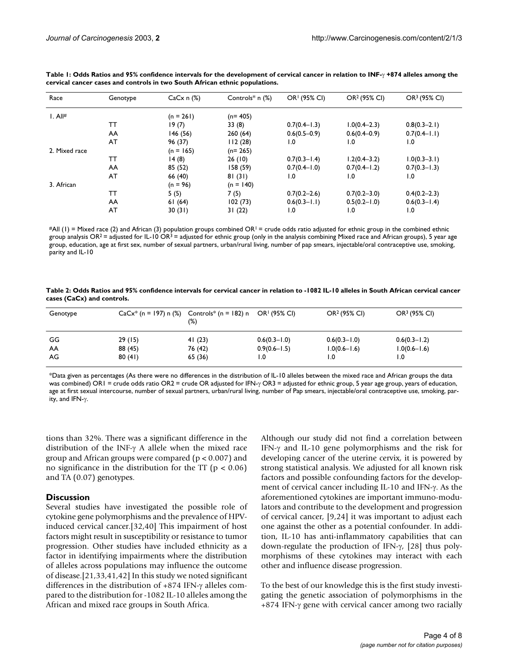| Race          | Genotype | $CaCx n$ (%) | Controls $*$ n $(\%)$ | OR <sup>1</sup> (95% CI) | OR <sup>2</sup> (95% CI) | OR <sup>3</sup> (95% CI) |
|---------------|----------|--------------|-----------------------|--------------------------|--------------------------|--------------------------|
| I. All#       |          | $(n = 261)$  | $(n=405)$             |                          |                          |                          |
|               | тт       | 19(7)        | 33(8)                 | $0.7(0.4-1.3)$           | $1.0(0.4 - 2.3)$         | $0.8(0.3-2.1)$           |
|               | AA       | 146 (56)     | 260(64)               | $0.6(0.5-0.9)$           | $0.6(0.4-0.9)$           | $0.7(0.4-1.1)$           |
|               | AT       | 96 (37)      | 112(28)               | 1.0                      | $\overline{1.0}$         | $\overline{1.0}$         |
| 2. Mixed race |          | $(n = 165)$  | $(n=265)$             |                          |                          |                          |
|               | тт       | 14(8)        | 26(10)                | $0.7(0.3 - 1.4)$         | $1.2(0.4 - 3.2)$         | $1.0(0.3 - 3.1)$         |
|               | AA       | 85 (52)      | 158(59)               | $0.7(0.4-1.0)$           | $0.7(0.4-1.2)$           | $0.7(0.3 - 1.3)$         |
|               | AT       | 66 (40)      | 81(31)                | 1.0                      | $\overline{1.0}$         | 1.0                      |
| 3. African    |          | $(n = 96)$   | $(n = 140)$           |                          |                          |                          |
|               | тт       | 5(5)         | 7(5)                  | $0.7(0.2 - 2.6)$         | $0.7(0.2 - 3.0)$         | $0.4(0.2 - 2.3)$         |
|               | AA       | 61(64)       | 102(73)               | $0.6(0.3 - 1.1)$         | $0.5(0.2 - 1.0)$         | $0.6(0.3 - 1.4)$         |
|               | AT       | 30(31)       | 31(22)                | 1.0                      | $\overline{1.0}$         | 1.0                      |

<span id="page-3-0"></span>**Table 1: Odds Ratios and 95% confidence intervals for the development of cervical cancer in relation to INF-**γ **+874 alleles among the cervical cancer cases and controls in two South African ethnic populations.**

 $#All (1) = Mixed race (2) and African (3) population groups combined OR<sup>1</sup> = crude odds ratio adjusted for ethnic group in the combined ethnic$ group analysis OR<sup>2</sup> = adjusted for IL-10 OR<sup>3</sup> = adjusted for ethnic group (only in the analysis combining Mixed race and African groups), 5 year age group, education, age at first sex, number of sexual partners, urban/rural living, number of pap smears, injectable/oral contraceptive use, smoking, parity and IL-10

<span id="page-3-1"></span>**Table 2: Odds Ratios and 95% confidence intervals for cervical cancer in relation to -1082 IL-10 alleles in South African cervical cancer cases (CaCx) and controls.**

| Genotype |         | $CaCx^*$ (n = 197) n (%) Controls* (n = 182) n<br>$(\%)$ | OR! (95% CI)     | OR <sup>2</sup> (95% CI) | OR <sup>3</sup> (95% CI) |
|----------|---------|----------------------------------------------------------|------------------|--------------------------|--------------------------|
| GG       | 29(15)  | 41(23)                                                   | $0.6(0.3 - 1.0)$ | $0.6(0.3 - 1.0)$         | $0.6(0.3 - 1.2)$         |
| AA       | 88 (45) | 76 (42)                                                  | $0.9(0.6 - 1.5)$ | $1.0(0.6 - 1.6)$         | $1.0(0.6 - 1.6)$         |
| AG       | 80(41)  | 65 (36)                                                  | ۱.٥              | 0. ا                     | 0. ا                     |

\*Data given as percentages (As there were no differences in the distribution of IL-10 alleles between the mixed race and African groups the data was combined) OR1 = crude odds ratio OR2 = crude OR adjusted for IFN-γ OR3 = adjusted for ethnic group, 5 year age group, years of education, age at first sexual intercourse, number of sexual partners, urban/rural living, number of Pap smears, injectable/oral contraceptive use, smoking, parity, and IFN-γ.

tions than 32%. There was a significant difference in the distribution of the INF-γ A allele when the mixed race group and African groups were compared ( $p < 0.007$ ) and no significance in the distribution for the TT ( $p < 0.06$ ) and TA (0.07) genotypes.

#### **Discussion**

Several studies have investigated the possible role of cytokine gene polymorphisms and the prevalence of HPVinduced cervical cancer.[32,40] This impairment of host factors might result in susceptibility or resistance to tumor progression. Other studies have included ethnicity as a factor in identifying impairments where the distribution of alleles across populations may influence the outcome of disease.[[21](#page-6-0),33,41,42] In this study we noted significant differences in the distribution of +874 IFN-γ alleles compared to the distribution for -1082 IL-10 alleles among the African and mixed race groups in South Africa.

Although our study did not find a correlation between IFN-γ and IL-10 gene polymorphisms and the risk for developing cancer of the uterine cervix, it is powered by strong statistical analysis. We adjusted for all known risk factors and possible confounding factors for the development of cervical cancer including IL-10 and IFN-γ. As the aforementioned cytokines are important immuno-modulators and contribute to the development and progression of cervical cancer, [9,24] it was important to adjust each one against the other as a potential confounder. In addition, IL-10 has anti-inflammatory capabilities that can down-regulate the production of IFN-γ, [28] thus polymorphisms of these cytokines may interact with each other and influence disease progression.

To the best of our knowledge this is the first study investigating the genetic association of polymorphisms in the  $+874$  IFN- $\gamma$  gene with cervical cancer among two racially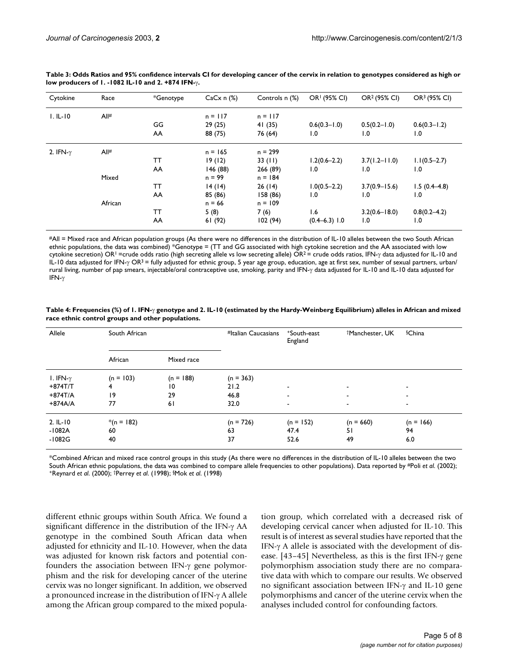| Cytokine         | Race    | *Genotype | $CaCx n$ (%) | Controls n (%) | OR <sup>1</sup> (95% CI) | OR <sup>2</sup> (95% CI) | OR <sup>3</sup> (95% CI) |
|------------------|---------|-----------|--------------|----------------|--------------------------|--------------------------|--------------------------|
| $I. IL-IO$       | All#    |           | $n = 117$    | $n = 117$      |                          |                          |                          |
|                  |         | GG        | 29(25)       | 41(35)         | $0.6(0.3 - 1.0)$         | $0.5(0.2 - 1.0)$         | $0.6(0.3 - 1.2)$         |
|                  |         | AA        | 88 (75)      | 76 (64)        | 1.0                      | $\mathbf{0}$ . I         | 1.0                      |
| 2. IFN- $\gamma$ | All#    |           | $n = 165$    | $n = 299$      |                          |                          |                          |
|                  |         | TΤ        | 19(12)       | 33(11)         | $1.2(0.6 - 2.2)$         | $3.7(1.2 - 11.0)$        | $1.1(0.5-2.7)$           |
|                  |         | AA        | 146 (88)     | 266 (89)       | 1.0                      | 1.0                      | 1.0                      |
|                  | Mixed   |           | $n = 99$     | $n = 184$      |                          |                          |                          |
|                  |         | TΤ        | 14(14)       | 26(14)         | $1.0(0.5 - 2.2)$         | $3.7(0.9 - 15.6)$        | $1.5(0.4-4.8)$           |
|                  |         | AA        | 85 (86)      | 158(86)        | 1.0                      | 1.0                      | 1.0                      |
|                  | African |           | $n = 66$     | $n = 109$      |                          |                          |                          |
|                  |         | TΤ        | 5(8)         | 7(6)           | 1.6                      | $3.2(0.6 - 18.0)$        | $0.8(0.2 - 4.2)$         |
|                  |         | AA        | 61(92)       | 102(94)        | $(0.4 - 6.3)$ 1.0        | 1.0                      | 1.0                      |

<span id="page-4-0"></span>**Table 3: Odds Ratios and 95% confidence intervals CI for developing cancer of the cervix in relation to genotypes considered as high or low producers of 1. -1082 IL-10 and 2. +874 IFN-**γ**.**

#All = Mixed race and African population groups (As there were no differences in the distribution of IL-10 alleles between the two South African ethnic populations, the data was combined) \*Genotype = (TT and GG associated with high cytokine secretion and the AA associated with low cytokine secretion) OR<sup>1</sup> =crude odds ratio (high secreting allele vs low secreting allele) OR<sup>2</sup> = crude odds ratios, IFN- $\gamma$  data adjusted for IL-10 and IL-10 data adjusted for IFN-γ OR<sup>3</sup> = fully adjusted for ethnic group, 5 year age group, education, age at first sex, number of sexual partners, urban/ rural living, number of pap smears, injectable/oral contraceptive use, smoking, parity and IFN-γ data adjusted for IL-10 and IL-10 data adjusted for IFN-γ

| South African |                 | #Italian Caucasians | +South-east<br>England   | <sup>†</sup> Manchester, UK | <sup>§</sup> China |
|---------------|-----------------|---------------------|--------------------------|-----------------------------|--------------------|
| African       | Mixed race      |                     |                          |                             |                    |
| $(n = 103)$   | $(n = 188)$     | $(n = 363)$         |                          |                             |                    |
| 4             | $\overline{10}$ | 21.2                | $\overline{\phantom{0}}$ | ٠                           |                    |
| 19            | 29              | 46.8                | $\overline{\phantom{0}}$ |                             |                    |
| 77            | 61              | 32.0                | $\overline{\phantom{0}}$ |                             |                    |
| $*(n = 182)$  |                 | $(n = 726)$         | $(n = 152)$              | $(n = 660)$                 | $(n = 166)$        |
| 60            |                 | 63                  | 47.4                     | 51                          | 94                 |
| 40            |                 | 37                  | 52.6                     | 49                          | 6.0                |
|               |                 |                     |                          |                             |                    |

<span id="page-4-1"></span>**Table 4: Frequencies (%) of 1. IFN-**γ **genotype and 2. IL-10 (estimated by the Hardy-Weinberg Equilibrium) alleles in African and mixed race ethnic control groups and other populations.**

\*Combined African and mixed race control groups in this study (As there were no differences in the distribution of IL-10 alleles between the two South African ethnic populations, the data was combined to compare allele frequencies to other populations). Data reported by #Poli et al. (2002); 1-Reynard et al. (2000); 1-Reynard et al. (2000); 1-Reynard et al. (2000);

different ethnic groups within South Africa. We found a significant difference in the distribution of the IFN-γ AA genotype in the combined South African data when adjusted for ethnicity and IL-10. However, when the data was adjusted for known risk factors and potential confounders the association between IFN-γ gene polymorphism and the risk for developing cancer of the uterine cervix was no longer significant. In addition, we observed a pronounced increase in the distribution of IFN-γ A allele among the African group compared to the mixed population group, which correlated with a decreased risk of developing cervical cancer when adjusted for IL-10. This result is of interest as several studies have reported that the IFN-γ A allele is associated with the development of disease. [43–45] Nevertheless, as this is the first IFN-γ gene polymorphism association study there are no comparative data with which to compare our results. We observed no significant association between IFN-γ and IL-10 gene polymorphisms and cancer of the uterine cervix when the analyses included control for confounding factors.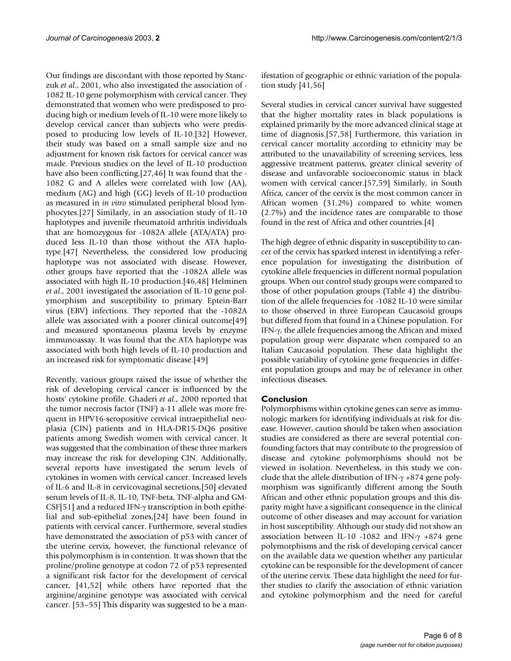Our findings are discordant with those reported by Stanczuk *et al*., 2001, who also investigated the association of - 1082 IL-10 gene polymorphism with cervical cancer. They demonstrated that women who were predisposed to producing high or medium levels of IL-10 were more likely to develop cervical cancer than subjects who were predisposed to producing low levels of IL-10.[32] However, their study was based on a small sample size and no adjustment for known risk factors for cervical cancer was made. Previous studies on the level of IL-10 production have also been conflicting.[27,46] It was found that the - 1082 G and A alleles were correlated with low (AA), medium (AG) and high (GG) levels of IL-10 production as measured in *in vitro* stimulated peripheral blood lymphocytes.[27] Similarly, in an association study of IL-10 haplotypes and juvenile rheumatoid arthritis individuals that are homozygous for -1082A allele (ATA/ATA) produced less IL-10 than those without the ATA haplotype.[47] Nevertheless, the considered low producing haplotype was not associated with disease. However, other groups have reported that the -1082A allele was associated with high IL-10 production.[46,48] Helminen *et al*., 2001 investigated the association of IL-10 gene polymorphism and susceptibility to primary Eptein-Barr virus (EBV) infections. They reported that the -1082A allele was associated with a poorer clinical outcome[49] and measured spontaneous plasma levels by enzyme immunoassay. It was found that the ATA haplotype was associated with both high levels of IL-10 production and an increased risk for symptomatic disease.[49]

Recently, various groups raised the issue of whether the risk of developing cervical cancer is influenced by the hosts' cytokine profile. Ghaderi *et al*., 2000 reported that the tumor necrosis factor (TNF) a-11 allele was more frequent in HPV16-seropositive cervical intraepithelial neoplasia (CIN) patients and in HLA-DR15-DQ6 positive patients among Swedish women with cervical cancer. It was suggested that the combination of these three markers may increase the risk for developing CIN. Additionally, several reports have investigated the serum levels of cytokines in women with cervical cancer. Increased levels of IL-6 and IL-8 in cervicovaginal secretions,[50] elevated serum levels of IL-8, IL-10, TNF-beta, TNF-alpha and GM-CSF[51] and a reduced IFN-γ transcription in both epithelial and sub-epithelial zones,[24] have been found in patients with cervical cancer. Furthermore, several studies have demonstrated the association of p53 with cancer of the uterine cervix, however, the functional relevance of this polymorphism is in contention. It was shown that the proline/proline genotype at codon 72 of p53 represented a significant risk factor for the development of cervical cancer, [41,52] while others have reported that the arginine/arginine genotype was associated with cervical cancer. [53–55] This disparity was suggested to be a manifestation of geographic or ethnic variation of the population study  $[41,56]$ 

Several studies in cervical cancer survival have suggested that the higher mortality rates in black populations is explained primarily by the more advanced clinical stage at time of diagnosis.[57,58] Furthermore, this variation in cervical cancer mortality according to ethnicity may be attributed to the unavailability of screening services, less aggressive treatment patterns, greater clinical severity of disease and unfavorable socioeconomic status in black women with cervical cancer.[57,59] Similarly, in South Africa, cancer of the cervix is the most common cancer in African women (31.2%) compared to white women (2.7%) and the incidence rates are comparable to those found in the rest of Africa and other countries.[4]

The high degree of ethnic disparity in susceptibility to cancer of the cervix has sparked interest in identifying a reference population for investigating the distribution of cytokine allele frequencies in different normal population groups. When our control study groups were compared to those of other population groups (Table [4](#page-4-1)) the distribution of the allele frequencies for -1082 IL-10 were similar to those observed in three European Caucasoid groups but differed from that found in a Chinese population. For IFN-γ, the allele frequencies among the African and mixed population group were disparate when compared to an Italian Caucasoid population. These data highlight the possible variability of cytokine gene frequencies in different population groups and may be of relevance in other infectious diseases.

#### **Conclusion**

Polymorphisms within cytokine genes can serve as immunologic markers for identifying individuals at risk for disease. However, caution should be taken when association studies are considered as there are several potential confounding factors that may contribute to the progression of disease and cytokine polymorphisms should not be viewed in isolation. Nevertheless, in this study we conclude that the allele distribution of IFN-γ +874 gene polymorphism was significantly different among the South African and other ethnic population groups and this disparity might have a significant consequence in the clinical outcome of other diseases and may account for variation in host susceptibility. Although our study did not show an association between IL-10 -1082 and IFN-γ +874 gene polymorphisms and the risk of developing cervical cancer on the available data we question whether any particular cytokine can be responsible for the development of cancer of the uterine cervix. These data highlight the need for further studies to clarify the association of ethnic variation and cytokine polymorphism and the need for careful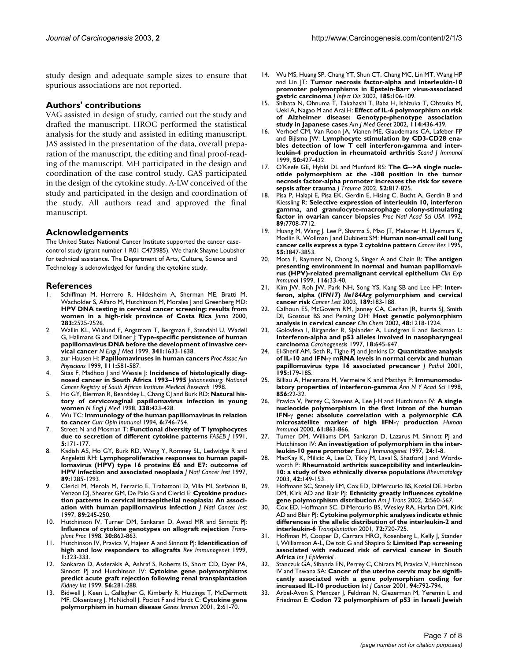study design and adequate sample sizes to ensure that spurious associations are not reported.

#### **Authors' contributions**

VAG assisted in design of study, carried out the study and drafted the manuscript. HROC performed the statistical analysis for the study and assisted in editing manuscript. JAS assisted in the presentation of the data, overall preparation of the manuscript, the editing and final proof-reading of the manuscript. MH participated in the design and coordination of the case control study. GAS participated in the design of the cytokine study. A-LW conceived of the study and participated in the design and coordination of the study. All authors read and approved the final manuscript.

#### **Acknowledgements**

The United States National Cancer Institute supported the cancer casecontrol study (grant number 1 R01 C473985). We thank Shayne Loubsher for technical assistance. The Department of Arts, Culture, Science and Technology is acknowledged for funding the cytokine study.

#### **References**

- Schiffman M, Herrero R, Hildesheim A, Sherman ME, Bratti M, Wacholder S, Alfaro M, Hutchinson M, Morales J and Greenberg MD: **[HPV DNA testing in cervical cancer screening: results from](http://www.ncbi.nlm.nih.gov/entrez/query.fcgi?cmd=Retrieve&db=PubMed&dopt=Abstract&list_uids=10815111) [women in a high-risk province of Costa Rica](http://www.ncbi.nlm.nih.gov/entrez/query.fcgi?cmd=Retrieve&db=PubMed&dopt=Abstract&list_uids=10815111)** *Jama* 2000, **283:**2525-2526.
- 2. Wallin KL, Wiklund F, Angstrom T, Bergman F, Stendahl U, Wadell G, Hallmans G and Dillner J: **[Type-specific persistence of human](http://www.ncbi.nlm.nih.gov/entrez/query.fcgi?cmd=Retrieve&db=PubMed&dopt=Abstract&list_uids=10572150) [papillomavirus DNA before the development of invasive cer](http://www.ncbi.nlm.nih.gov/entrez/query.fcgi?cmd=Retrieve&db=PubMed&dopt=Abstract&list_uids=10572150)[vical cancer](http://www.ncbi.nlm.nih.gov/entrez/query.fcgi?cmd=Retrieve&db=PubMed&dopt=Abstract&list_uids=10572150)** *N Engl J Med* 1999, **341:**1633-1638.
- 3. zur Hausen H: **[Papillomaviruses in human cancers](http://www.ncbi.nlm.nih.gov/entrez/query.fcgi?cmd=Retrieve&db=PubMed&dopt=Abstract&list_uids=10591087)** *Proc Assoc Am Physicians* 1999, **111:**581-587.
- 4. Sitas F, Madhoo J and Wessie J: **Incidence of histologically diagnosed cancer in South Africa 1993–1995** *Johannesburg: National Cancer Registry of South African Institute Medical Research* 1998.
- 5. Ho GY, Bierman R, Beardsley L, Chang CJ and Burk RD: **[Natural his](http://www.ncbi.nlm.nih.gov/entrez/query.fcgi?cmd=Retrieve&db=PubMed&dopt=Abstract&list_uids=9459645)[tory of cervicovaginal papillomavirus infection in young](http://www.ncbi.nlm.nih.gov/entrez/query.fcgi?cmd=Retrieve&db=PubMed&dopt=Abstract&list_uids=9459645) [women](http://www.ncbi.nlm.nih.gov/entrez/query.fcgi?cmd=Retrieve&db=PubMed&dopt=Abstract&list_uids=9459645)** *N Engl J Med* 1998, **338:**423-428.
- 6. Wu TC: **[Immunology of the human papillomavirus in relation](http://www.ncbi.nlm.nih.gov/entrez/query.fcgi?cmd=Retrieve&db=PubMed&dopt=Abstract&list_uids=7826530) [to cancer](http://www.ncbi.nlm.nih.gov/entrez/query.fcgi?cmd=Retrieve&db=PubMed&dopt=Abstract&list_uids=7826530)** *Curr Opin Immunol* 1994, **6:**746-754.
- 7. Street N and Mosman T: **[Functional diversity of T lymphocytes](http://www.ncbi.nlm.nih.gov/entrez/query.fcgi?cmd=Retrieve&db=PubMed&dopt=Abstract&list_uids=1825981) [due to secretion of different cytokine patterns](http://www.ncbi.nlm.nih.gov/entrez/query.fcgi?cmd=Retrieve&db=PubMed&dopt=Abstract&list_uids=1825981)** *FASEB J* 1991, **5:**171-177.
- 8. Kadish AS, Ho GY, Burk RD, Wang Y, Romney SL, Ledwidge R and Angeletti RH: **[Lymphoproliferative responses to human papil](http://www.ncbi.nlm.nih.gov/entrez/query.fcgi?cmd=Retrieve&db=PubMed&dopt=Abstract&list_uids=9293919)[lomavirus \(HPV\) type 16 proteins E6 and E7: outcome of](http://www.ncbi.nlm.nih.gov/entrez/query.fcgi?cmd=Retrieve&db=PubMed&dopt=Abstract&list_uids=9293919) [HPV infection and associated neoplasia](http://www.ncbi.nlm.nih.gov/entrez/query.fcgi?cmd=Retrieve&db=PubMed&dopt=Abstract&list_uids=9293919)** *J Natl Cancer Inst* 1997, **89:**1285-1293.
- 9. Clerici M, Merola M, Ferrario E, Trabattoni D, Villa Ml, Stefanon B, Venzon DJ, Shearer GM, De Palo G and Clerici E: **[Cytokine produc](http://www.ncbi.nlm.nih.gov/entrez/query.fcgi?cmd=Retrieve&db=PubMed&dopt=Abstract&list_uids=9017005)[tion patterns in cervical intraepithelial neoplasia: An associ](http://www.ncbi.nlm.nih.gov/entrez/query.fcgi?cmd=Retrieve&db=PubMed&dopt=Abstract&list_uids=9017005)[ation with human papillomavirus infection](http://www.ncbi.nlm.nih.gov/entrez/query.fcgi?cmd=Retrieve&db=PubMed&dopt=Abstract&list_uids=9017005)** *J Natl Cancer Inst* 1997, **89:**245-250.
- 10. Hutchinson IV, Turner DM, Sankaran D, Awad MR and Sinnott PJ: **[Influence of cytokine genotypes on allograft rejection](http://www.ncbi.nlm.nih.gov/entrez/query.fcgi?cmd=Retrieve&db=PubMed&dopt=Abstract&list_uids=9595127)** *Transplant Proc* 1998, **30:**862-863.
- 11. Hutchinson IV, Pravica V, Hajeer A and Sinnott PJ: **[Identification of](http://www.ncbi.nlm.nih.gov/entrez/query.fcgi?cmd=Retrieve&db=PubMed&dopt=Abstract&list_uids=11256423) [high and low responders to allografts](http://www.ncbi.nlm.nih.gov/entrez/query.fcgi?cmd=Retrieve&db=PubMed&dopt=Abstract&list_uids=11256423)** *Rev Immunogenet* 1999, **1:**323-333.
- 12. Sankaran D, Asderakis A, Ashraf S, Roberts IS, Short CD, Dyer PA, Sinnott PJ and Hutchinson IV: **[Cytokine gene polymorphisms](http://www.ncbi.nlm.nih.gov/entrez/query.fcgi?cmd=Retrieve&db=PubMed&dopt=Abstract&list_uids=10411704) [predict acute graft rejection following renal transplantation](http://www.ncbi.nlm.nih.gov/entrez/query.fcgi?cmd=Retrieve&db=PubMed&dopt=Abstract&list_uids=10411704)** *Kidney Int* 1999, **56:**281-288.
- 13. Bidwell J, Keen L, Gallagher G, Kimberly R, Huizinga T, McDermott MF, Oksenberg J, McNicholl J, Pociot F and Hardt C: **[Cytokine gene](http://www.ncbi.nlm.nih.gov/entrez/query.fcgi?cmd=Retrieve&db=PubMed&dopt=Abstract&list_uids=11393658) [polymorphism in human disease](http://www.ncbi.nlm.nih.gov/entrez/query.fcgi?cmd=Retrieve&db=PubMed&dopt=Abstract&list_uids=11393658)** *Genes Immun* 2001, **2:**61-70.
- 14. Wu MS, Huang SP, Chang YT, Shun CT, Chang MC, Lin MT, Wang HP and Lin JT: **[Tumor necrosis factor-alpha and interleukin-10](http://www.ncbi.nlm.nih.gov/entrez/query.fcgi?cmd=Retrieve&db=PubMed&dopt=Abstract&list_uids=11756988) [promoter polymorphisms in Epstein-Barr virus-associated](http://www.ncbi.nlm.nih.gov/entrez/query.fcgi?cmd=Retrieve&db=PubMed&dopt=Abstract&list_uids=11756988) [gastric carcinoma](http://www.ncbi.nlm.nih.gov/entrez/query.fcgi?cmd=Retrieve&db=PubMed&dopt=Abstract&list_uids=11756988)** *J Infect Dis* 2002, **185:**106-109.
- 15. Shibata N, Ohnuma T, Takahashi T, Baba H, Ishizuka T, Ohtsuka M, Ueki A, Nagao M and Arai H: **[Effect of IL-6 polymorphism on risk](http://www.ncbi.nlm.nih.gov/entrez/query.fcgi?cmd=Retrieve&db=PubMed&dopt=Abstract&list_uids=11992567) [of Alzheimer disease: Genotype-phenotype association](http://www.ncbi.nlm.nih.gov/entrez/query.fcgi?cmd=Retrieve&db=PubMed&dopt=Abstract&list_uids=11992567) [study in Japanese cases](http://www.ncbi.nlm.nih.gov/entrez/query.fcgi?cmd=Retrieve&db=PubMed&dopt=Abstract&list_uids=11992567)** *Am J Med Genet* 2002, **114:**436-439.
- 16. Verhoef CM, Van Roon JA, Vianen ME, Glaudemans CA, Lafeber FP and Bijlsma JW: **[Lymphocyte stimulation by CD3-CD28 ena](http://www.ncbi.nlm.nih.gov/entrez/query.fcgi?cmd=Retrieve&db=PubMed&dopt=Abstract&list_uids=10520184)**[bles detection of low T cell interferon-gamma and inter](http://www.ncbi.nlm.nih.gov/entrez/query.fcgi?cmd=Retrieve&db=PubMed&dopt=Abstract&list_uids=10520184)**[leukin-4 production in rheumatoid arthritis](http://www.ncbi.nlm.nih.gov/entrez/query.fcgi?cmd=Retrieve&db=PubMed&dopt=Abstract&list_uids=10520184)** *Scand J Immunol* 1999, **50:**427-432.
- 17. O'Keefe GE, Hybki DL and Munford RS: **[The G-->A single nucle](http://www.ncbi.nlm.nih.gov/entrez/query.fcgi?cmd=Retrieve&db=PubMed&dopt=Abstract&list_uids=11988644)otide polymorphism at the -308 position in the tumor [necrosis factor-alpha promoter increases the risk for severe](http://www.ncbi.nlm.nih.gov/entrez/query.fcgi?cmd=Retrieve&db=PubMed&dopt=Abstract&list_uids=11988644) [sepsis after trauma](http://www.ncbi.nlm.nih.gov/entrez/query.fcgi?cmd=Retrieve&db=PubMed&dopt=Abstract&list_uids=11988644)** *J Trauma* 2002, **52:**817-825.
- 18. Pisa P, Halapi E, Pisa EK, Gerdin E, Hising C, Bucht A, Gerdin B and Kiessling R: **[Selective expression of interleukin 10, interferon](http://www.ncbi.nlm.nih.gov/entrez/query.fcgi?cmd=Retrieve&db=PubMed&dopt=Abstract&list_uids=1502188) [gamma, and granulocyte-macrophage colony-stimulating](http://www.ncbi.nlm.nih.gov/entrez/query.fcgi?cmd=Retrieve&db=PubMed&dopt=Abstract&list_uids=1502188) [factor in ovarian cancer biopsies](http://www.ncbi.nlm.nih.gov/entrez/query.fcgi?cmd=Retrieve&db=PubMed&dopt=Abstract&list_uids=1502188)** *Proc Natl Acad Sci USA* 1992, **89:**7708-7712.
- 19. Huang M, Wang J, Lee P, Sharma S, Mao JT, Meissner H, Uyemura K, Modlin R, Wollman J and Dubinett SM: **[Human non-small cell lung](http://www.ncbi.nlm.nih.gov/entrez/query.fcgi?cmd=Retrieve&db=PubMed&dopt=Abstract&list_uids=7641203) [cancer cells express a type 2 cytokine pattern](http://www.ncbi.nlm.nih.gov/entrez/query.fcgi?cmd=Retrieve&db=PubMed&dopt=Abstract&list_uids=7641203)** *Cancer Res* 1995, **55:**3847-3853.
- 20. Mota F, Rayment N, Chong S, Singer A and Chain B: **[The antigen](http://www.ncbi.nlm.nih.gov/entrez/query.fcgi?cmd=Retrieve&db=PubMed&dopt=Abstract&list_uids=10209502) [presenting environment in normal and human papillomavi](http://www.ncbi.nlm.nih.gov/entrez/query.fcgi?cmd=Retrieve&db=PubMed&dopt=Abstract&list_uids=10209502)[rus \(HPV\)-related premalignant cervical epithelium](http://www.ncbi.nlm.nih.gov/entrez/query.fcgi?cmd=Retrieve&db=PubMed&dopt=Abstract&list_uids=10209502)** *Clin Exp Immunol* 1999, **116:**33-40.
- <span id="page-6-0"></span>21. Kim JW, Roh JW, Park NH, Song YS, Kang SB and Lee HP: **Interferon, alpha (***IFN17***)** *Ile184Arg* **[polymorphism and cervical](http://www.ncbi.nlm.nih.gov/entrez/query.fcgi?cmd=Retrieve&db=PubMed&dopt=Abstract&list_uids=12490311) [cancer risk](http://www.ncbi.nlm.nih.gov/entrez/query.fcgi?cmd=Retrieve&db=PubMed&dopt=Abstract&list_uids=12490311)** *Cancer Lett* 2003, **189:**183-188.
- 22. Calhoun ES, McGovern RM, Janney CA, Cerhan JR, Iturria SJ, Smith DI, Gostout BS and Persing DH: **[Host genetic polymorphism](http://www.ncbi.nlm.nih.gov/entrez/query.fcgi?cmd=Retrieve&db=PubMed&dopt=Abstract&list_uids=12142377) [analysis in cervical cancer](http://www.ncbi.nlm.nih.gov/entrez/query.fcgi?cmd=Retrieve&db=PubMed&dopt=Abstract&list_uids=12142377)** *Clin Chem* 2002, **48:**1218-1224.
- 23. Golovleva I, Birgander R, Sjalander A, Lundgren E and Beckman L: **[Interferon-alpha and p53 alleles involved in nasopharyngeal](http://www.ncbi.nlm.nih.gov/entrez/query.fcgi?cmd=Retrieve&db=PubMed&dopt=Abstract&list_uids=9111194) [carcinoma](http://www.ncbi.nlm.nih.gov/entrez/query.fcgi?cmd=Retrieve&db=PubMed&dopt=Abstract&list_uids=9111194)** *Carcinogenesis* 1997, **18:**645-647.
- 24. El-Sherif AM, Seth R, Tighe PJ and Jenkins D: **Quantitative analysis of IL-10 and IFN-**γ **[mRNA levels in normal cervix and human](http://www.ncbi.nlm.nih.gov/entrez/query.fcgi?cmd=Retrieve&db=PubMed&dopt=Abstract&list_uids=11592096) [papillomavirus type 16 associated precancer](http://www.ncbi.nlm.nih.gov/entrez/query.fcgi?cmd=Retrieve&db=PubMed&dopt=Abstract&list_uids=11592096)** *J Pathol* 2001, **195:**179-185.
- 25. Billiau A, Heremans H, Vermeire K and Matthys P: **[Immunomodu](http://www.ncbi.nlm.nih.gov/entrez/query.fcgi?cmd=Retrieve&db=PubMed&dopt=Abstract&list_uids=9917861)[latory properties of interferon-gamma](http://www.ncbi.nlm.nih.gov/entrez/query.fcgi?cmd=Retrieve&db=PubMed&dopt=Abstract&list_uids=9917861)** *Ann N Y Acad Sci* 1998, **856:**22-32.
- 26. Pravica V, Perrey C, Stevens A, Lee J-H and Hutchinson IV: **A single nucleotide polymorphism in the first intron of the human IFN-**γ **gene: absolute correlation with a polymorphic CA microsatellite marker of high IFN-**γ **production** *Human Immunol* 2000, **61:**863-866.
- 27. Turner DM, Williams DM, Sankaran D, Lazarus M, Sinnott PJ and Hutchinson IV: **An investigation of polymorphism in the interleukin-10 gene promoter** *Euro J Immunogenet* 1997, **24:**1-8.
- 28. MacKay K, Milicic A, Lee D, Tikly M, Laval S, Shatford J and Wordsworth P: **[Rheumatoid arthritis susceptibility and interleukin-](http://www.ncbi.nlm.nih.gov/entrez/query.fcgi?cmd=Retrieve&db=PubMed&dopt=Abstract&list_uids=12509628)[10: a study of two ethnically diverse populations](http://www.ncbi.nlm.nih.gov/entrez/query.fcgi?cmd=Retrieve&db=PubMed&dopt=Abstract&list_uids=12509628)** *Rheumatology* 2003, **42:**149-153.
- 29. Hoffmann SC, Stanely EM, Cox ED, DiMercurio BS, Koziol DE, Harlan DM, Kirk AD and Blair PJ: **Ethnicity greatly influences cytokine gene polymorphism distribution** *Am J Trans* 2002, **2:**560-567.
- 30. Cox ED, Hoffmann SC, DiMercurio BS, Wesley RA, Harlan DM, Kirk AD and Blair PJ: **[Cytokine polymorphic analyses indicate ethnic](http://www.ncbi.nlm.nih.gov/entrez/query.fcgi?cmd=Retrieve&db=PubMed&dopt=Abstract&list_uids=11544437) [differences in the allelic distribution of the interleukin-2 and](http://www.ncbi.nlm.nih.gov/entrez/query.fcgi?cmd=Retrieve&db=PubMed&dopt=Abstract&list_uids=11544437) [interleukin-6](http://www.ncbi.nlm.nih.gov/entrez/query.fcgi?cmd=Retrieve&db=PubMed&dopt=Abstract&list_uids=11544437)** *Transplantation* 2001, **72:**720-725.
- 31. Hoffman M, Cooper D, Carrara HRO, Rosenberg L, Kelly J, Stander I, Williamson A-L, De toit G and Shapiro S: **Limited Pap screening associated with reduced risk of cervical cancer in South Africa** *Int J Epidemiol* .
- 32. Stanczuk GA, Sibanda EN, Perrey C, Chirara M, Pravica V, Hutchinson IV and Tswana SA: **[Cancer of the uterine cervix may be signifi](http://www.ncbi.nlm.nih.gov/entrez/query.fcgi?cmd=Retrieve&db=PubMed&dopt=Abstract&list_uids=11745479)[cantly associated with a gene polymorphism coding for](http://www.ncbi.nlm.nih.gov/entrez/query.fcgi?cmd=Retrieve&db=PubMed&dopt=Abstract&list_uids=11745479) [increased IL-10 production](http://www.ncbi.nlm.nih.gov/entrez/query.fcgi?cmd=Retrieve&db=PubMed&dopt=Abstract&list_uids=11745479)** *Int J Cancer* 2001, **94:**792-794.
- 33. Arbel-Avon S, Menczer J, Feldman N, Glezerman M, Yeremin L and Friedman E: **Codon 72 polymorphism of p53 in Israeli Jewish**